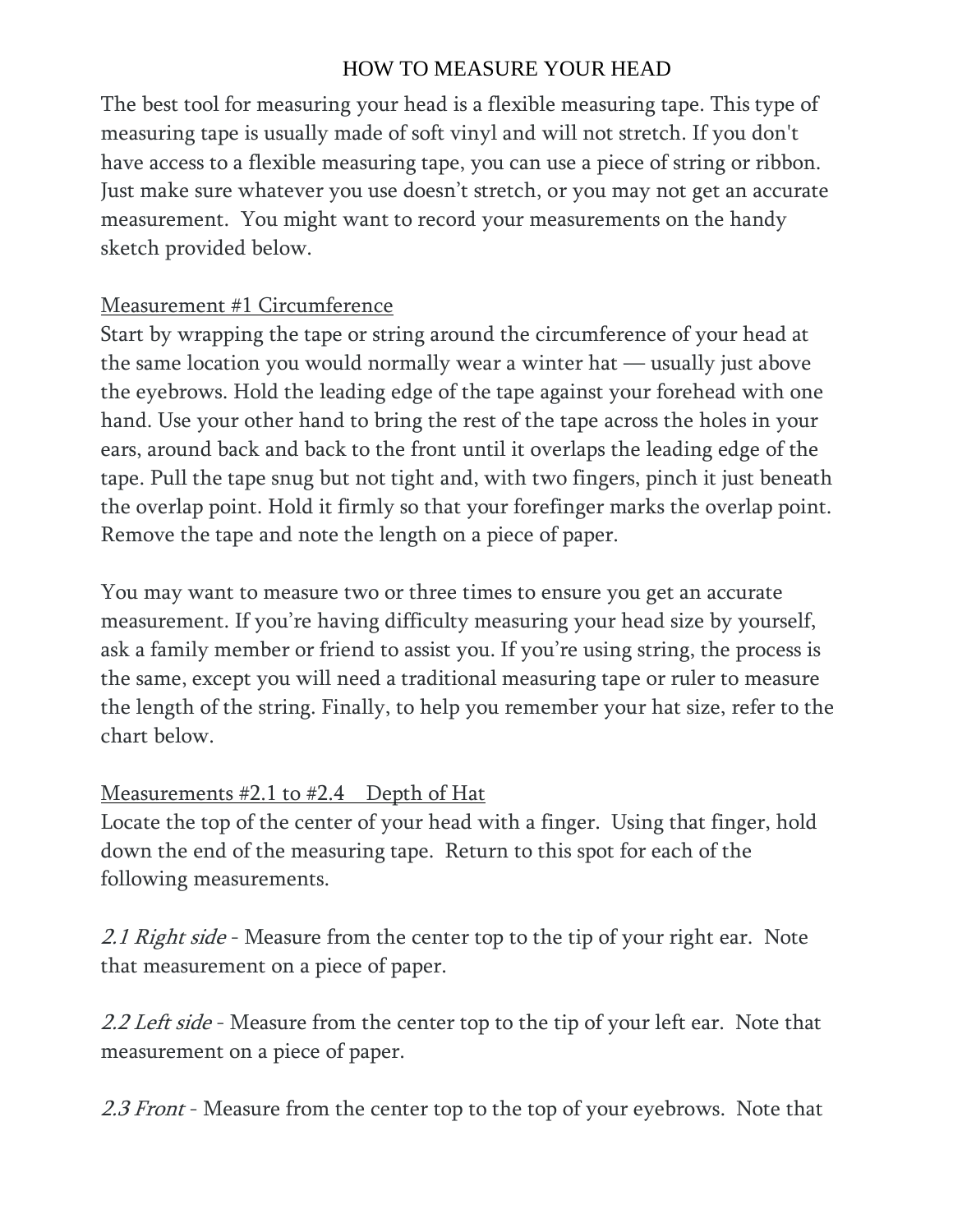## HOW TO MEASURE YOUR HEAD

The best tool for measuring your head is a flexible measuring tape. This type of measuring tape is usually made of soft vinyl and will not stretch. If you don't have access to a flexible measuring tape, you can use a piece of string or ribbon. Just make sure whatever you use doesn't stretch, or you may not get an accurate measurement. You might want to record your measurements on the handy sketch provided below.

## Measurement #1 Circumference

Start by wrapping the tape or string around the circumference of your head at the same location you would normally wear a winter hat — usually just above the eyebrows. Hold the leading edge of the tape against your forehead with one hand. Use your other hand to bring the rest of the tape across the holes in your ears, around back and back to the front until it overlaps the leading edge of the tape. Pull the tape snug but not tight and, with two fingers, pinch it just beneath the overlap point. Hold it firmly so that your forefinger marks the overlap point. Remove the tape and note the length on a piece of paper.

You may want to measure two or three times to ensure you get an accurate measurement. If you're having difficulty measuring your head size by yourself, ask a family member or friend to assist you. If you're using string, the process is the same, except you will need a traditional measuring tape or ruler to measure the length of the string. Finally, to help you remember your hat size, refer to the chart below.

## <u>Measurements #2.1 to #2.4 Depth of Hat</u>

Locate the top of the center of your head with a finger. Using that finger, hold down the end of the measuring tape. Return to this spot for each of the following measurements.

2.1 Right side - Measure from the center top to the tip of your right ear. Note that measurement on a piece of paper.

2.2 Left side - Measure from the center top to the tip of your left ear. Note that measurement on a piece of paper.

2.3 Front - Measure from the center top to the top of your eyebrows. Note that